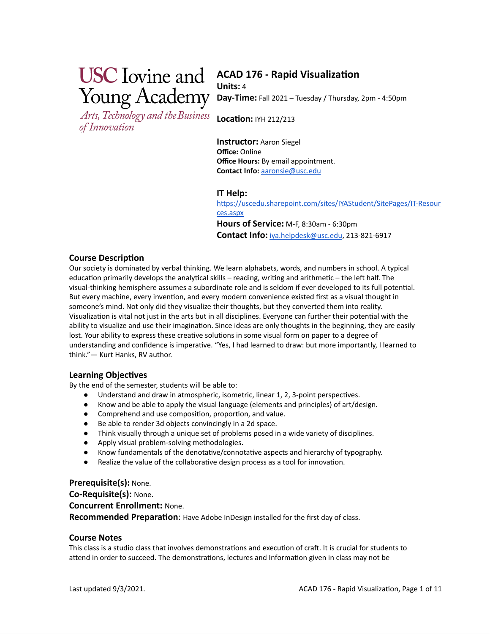# **ACAD 176 - Rapid Visualization**

Arts, Technology and the Business of Innovation

**Units:** 4 **Day-Time:** Fall 2021 – Tuesday / Thursday, 2pm - 4:50pm

**Location:** IYH 212/213

**Instructor:** Aaron Siegel **Office:** Online **Office Hours:** By email appointment. **Contact Info:** [aaronsie@usc.edu](mailto:aaronsie@usc.edu)

# **IT Help:**

[https://uscedu.sharepoint.com/sites/IYAStudent/SitePages/IT-Resour](https://uscedu.sharepoint.com/sites/IYAStudent/SitePages/IT-Resources.aspx) [ces.aspx](https://uscedu.sharepoint.com/sites/IYAStudent/SitePages/IT-Resources.aspx) **Hours of Service:** M-F, 8:30am - 6:30pm

**Contact Info:** [iya.helpdesk@usc.edu,](mailto:iya.helpdesk@usc.edu) 213-821-6917

### **Course Description**

Our society is dominated by verbal thinking. We learn alphabets, words, and numbers in school. A typical education primarily develops the analytical skills – reading, writing and arithmetic – the left half. The visual-thinking hemisphere assumes a subordinate role and is seldom if ever developed to its full potential. But every machine, every invention, and every modern convenience existed first as a visual thought in someone's mind. Not only did they visualize their thoughts, but they converted them into reality. Visualization is vital not just in the arts but in all disciplines. Everyone can further their potential with the ability to visualize and use their imagination. Since ideas are only thoughts in the beginning, they are easily lost. Your ability to express these creative solutions in some visual form on paper to a degree of understanding and confidence is imperative. "Yes, I had learned to draw: but more importantly, I learned to think."— Kurt Hanks, RV author.

# **Learning Objectives**

By the end of the semester, students will be able to:

- Understand and draw in atmospheric, isometric, linear 1, 2, 3-point perspectives.
- Know and be able to apply the visual language (elements and principles) of art/design.
- Comprehend and use composition, proportion, and value.
- Be able to render 3d objects convincingly in a 2d space.
- Think visually through a unique set of problems posed in a wide variety of disciplines.
- Apply visual problem-solving methodologies.
- Know fundamentals of the denotative/connotative aspects and hierarchy of typography.
- Realize the value of the collaborative design process as a tool for innovation.

#### **Prerequisite(s):** None.

**Co-Requisite(s):** None. **Concurrent Enrollment:** None. **Recommended Preparation**: Have Adobe InDesign installed for the first day of class.

#### **Course Notes**

This class is a studio class that involves demonstrations and execution of craft. It is crucial for students to attend in order to succeed. The demonstrations, lectures and Information given in class may not be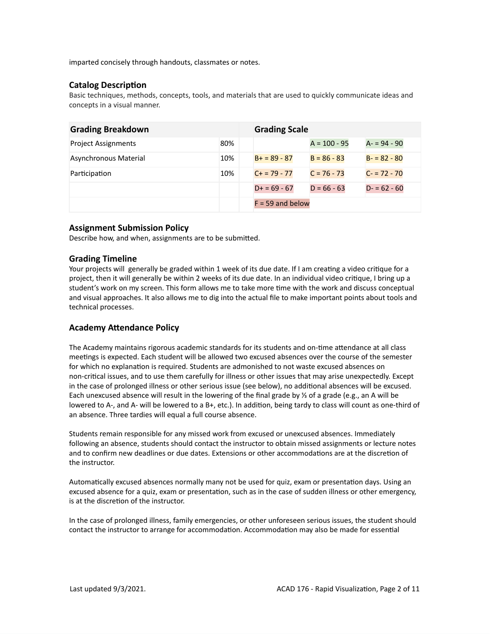imparted concisely through handouts, classmates or notes.

# **Catalog Description**

Basic techniques, methods, concepts, tools, and materials that are used to quickly communicate ideas and concepts in a visual manner.

| <b>Grading Breakdown</b>   |     | <b>Grading Scale</b> |                |               |
|----------------------------|-----|----------------------|----------------|---------------|
| <b>Project Assignments</b> | 80% |                      | $A = 100 - 95$ | $A - 94 - 90$ |
| Asynchronous Material      | 10% | $B+ = 89 - 87$       | $B = 86 - 83$  | $B - 82 - 80$ |
| Participation              | 10% | $C + 79 - 77$        | $C = 76 - 73$  | $C - 72 - 70$ |
|                            |     | $D+ = 69 - 67$       | $D = 66 - 63$  | $D - 62 - 60$ |
|                            |     | $F = 59$ and below   |                |               |

# **Assignment Submission Policy**

Describe how, and when, assignments are to be submitted.

# **Grading Timeline**

Your projects will generally be graded within 1 week of its due date. If I am creating a video critique for a project, then it will generally be within 2 weeks of its due date. In an individual video critique, I bring up a student's work on my screen. This form allows me to take more time with the work and discuss conceptual and visual approaches. It also allows me to dig into the actual file to make important points about tools and technical processes.

# **Academy Attendance Policy**

The Academy maintains rigorous academic standards for its students and on-time attendance at all class meetings is expected. Each student will be allowed two excused absences over the course of the semester for which no explanation is required. Students are admonished to not waste excused absences on non-critical issues, and to use them carefully for illness or other issues that may arise unexpectedly. Except in the case of prolonged illness or other serious issue (see below), no additional absences will be excused. Each unexcused absence will result in the lowering of the final grade by ⅓ of a grade (e.g., an A will be lowered to A-, and A- will be lowered to a B+, etc.). In addition, being tardy to class will count as one-third of an absence. Three tardies will equal a full course absence.

Students remain responsible for any missed work from excused or unexcused absences. Immediately following an absence, students should contact the instructor to obtain missed assignments or lecture notes and to confirm new deadlines or due dates. Extensions or other accommodations are at the discretion of the instructor.

Automatically excused absences normally many not be used for quiz, exam or presentation days. Using an excused absence for a quiz, exam or presentation, such as in the case of sudden illness or other emergency, is at the discretion of the instructor.

In the case of prolonged illness, family emergencies, or other unforeseen serious issues, the student should contact the instructor to arrange for accommodation. Accommodation may also be made for essential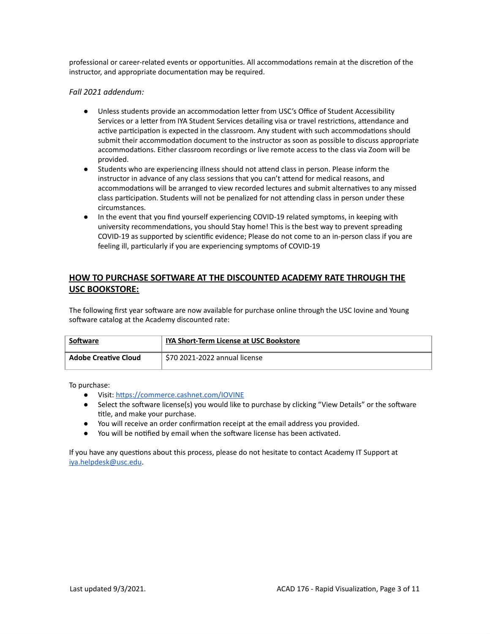professional or career-related events or opportunities. All accommodations remain at the discretion of the instructor, and appropriate documentation may be required.

*Fall 2021 addendum:*

- Unless students provide an accommodation letter from USC's Office of Student Accessibility Services or a letter from IYA Student Services detailing visa or travel restrictions, attendance and active participation is expected in the classroom. Any student with such accommodations should submit their accommodation document to the instructor as soon as possible to discuss appropriate accommodations. Either classroom recordings or live remote access to the class via Zoom will be provided.
- Students who are experiencing illness should not attend class in person. Please inform the instructor in advance of any class sessions that you can't attend for medical reasons, and accommodations will be arranged to view recorded lectures and submit alternatives to any missed class participation. Students will not be penalized for not attending class in person under these circumstances.
- In the event that you find yourself experiencing COVID-19 related symptoms, in keeping with university recommendations, you should Stay home! This is the best way to prevent spreading COVID-19 as supported by scientific evidence; Please do not come to an in-person class if you are feeling ill, particularly if you are experiencing symptoms of COVID-19

# **HOW TO PURCHASE SOFTWARE AT THE DISCOUNTED ACADEMY RATE THROUGH THE USC BOOKSTORE:**

The following first year software are now available for purchase online through the USC Iovine and Young software catalog at the Academy discounted rate:

| Software                    | <b>IYA Short-Term License at USC Bookstore</b> |
|-----------------------------|------------------------------------------------|
| <b>Adobe Creative Cloud</b> | \$70 2021-2022 annual license                  |

To purchase:

- Visit: <https://commerce.cashnet.com/IOVINE>
- Select the software license(s) you would like to purchase by clicking "View Details" or the software title, and make your purchase.
- You will receive an order confirmation receipt at the email address you provided.
- You will be notified by email when the software license has been activated.

If you have any questions about this process, please do not hesitate to contact Academy IT Support at [iya.helpdesk@usc.edu](mailto:iya.helpdesk@usc.edu).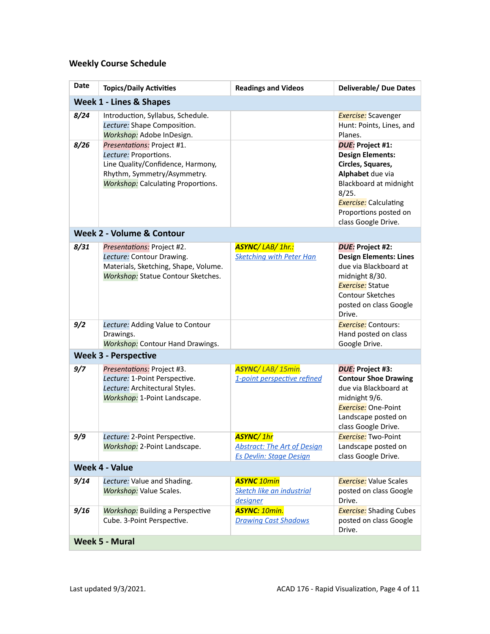# **Weekly Course Schedule**

| <b>Date</b>                        | <b>Topics/Daily Activities</b>                                                                                                                                       | <b>Readings and Videos</b>                                                               | <b>Deliverable/ Due Dates</b>                                                                                                                                                                                  |
|------------------------------------|----------------------------------------------------------------------------------------------------------------------------------------------------------------------|------------------------------------------------------------------------------------------|----------------------------------------------------------------------------------------------------------------------------------------------------------------------------------------------------------------|
| <b>Week 1 - Lines &amp; Shapes</b> |                                                                                                                                                                      |                                                                                          |                                                                                                                                                                                                                |
| 8/24                               | Introduction, Syllabus, Schedule.<br>Lecture: Shape Composition.<br>Workshop: Adobe InDesign.                                                                        |                                                                                          | <b>Exercise:</b> Scavenger<br>Hunt: Points, Lines, and<br>Planes.                                                                                                                                              |
| 8/26                               | Presentations: Project #1.<br>Lecture: Proportions.<br>Line Quality/Confidence, Harmony,<br>Rhythm, Symmetry/Asymmetry.<br><b>Workshop:</b> Calculating Proportions. |                                                                                          | <b>DUE: Project #1:</b><br><b>Design Elements:</b><br>Circles, Squares,<br>Alphabet due via<br>Blackboard at midnight<br>8/25.<br><b>Exercise:</b> Calculating<br>Proportions posted on<br>class Google Drive. |
|                                    | Week 2 - Volume & Contour                                                                                                                                            |                                                                                          |                                                                                                                                                                                                                |
| 8/31                               | Presentations: Project #2.<br>Lecture: Contour Drawing.<br>Materials, Sketching, Shape, Volume.<br><b>Workshop:</b> Statue Contour Sketches.                         | <b>ASYNC/LAB/1hr.:</b><br><b>Sketching with Peter Han</b>                                | DUE: Project #2:<br><b>Design Elements: Lines</b><br>due via Blackboard at<br>midnight 8/30.<br><b>Exercise:</b> Statue<br>Contour Sketches<br>posted on class Google<br>Drive.                                |
| 9/2                                | Lecture: Adding Value to Contour<br>Drawings.<br><b>Workshop:</b> Contour Hand Drawings.                                                                             |                                                                                          | <b>Exercise:</b> Contours:<br>Hand posted on class<br>Google Drive.                                                                                                                                            |
|                                    | <b>Week 3 - Perspective</b>                                                                                                                                          |                                                                                          |                                                                                                                                                                                                                |
| 9/7                                | Presentations: Project #3.<br>Lecture: 1-Point Perspective.<br>Lecture: Architectural Styles.<br>Workshop: 1-Point Landscape.                                        | ASYNC/LAB/15min.<br>1-point perspective refined                                          | DUE: Project #3:<br><b>Contour Shoe Drawing</b><br>due via Blackboard at<br>midnight 9/6.<br><b>Exercise:</b> One-Point<br>Landscape posted on<br>class Google Drive.                                          |
| 9/9                                | Lecture: 2-Point Perspective.<br>Workshop: 2-Point Landscape.                                                                                                        | <b>ASYNC/1hr</b><br><b>Abstract: The Art of Design</b><br><b>Es Devlin: Stage Design</b> | <b>Exercise:</b> Two-Point<br>Landscape posted on<br>class Google Drive.                                                                                                                                       |
| <b>Week 4 - Value</b>              |                                                                                                                                                                      |                                                                                          |                                                                                                                                                                                                                |
| 9/14                               | Lecture: Value and Shading.<br><b>Workshop:</b> Value Scales.                                                                                                        | <b>ASYNC 10min</b><br>Sketch like an industrial<br>designer                              | <b>Exercise:</b> Value Scales<br>posted on class Google<br>Drive.                                                                                                                                              |
| 9/16                               | <b>Workshop:</b> Building a Perspective<br>Cube. 3-Point Perspective.                                                                                                | <b>ASYNC: 10min.</b><br><b>Drawing Cast Shadows</b>                                      | <b>Exercise:</b> Shading Cubes<br>posted on class Google<br>Drive.                                                                                                                                             |
| <b>Week 5 - Mural</b>              |                                                                                                                                                                      |                                                                                          |                                                                                                                                                                                                                |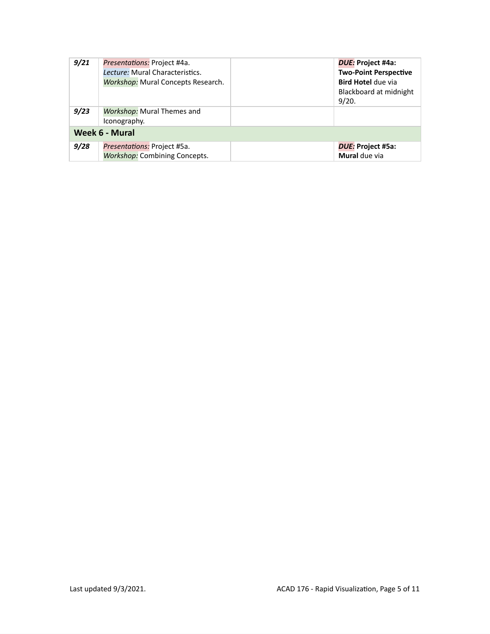| 9/21           | Presentations: Project #4a.<br>Lecture: Mural Characteristics.<br><b>Workshop:</b> Mural Concepts Research. | DUE: Project #4a:<br><b>Two-Point Perspective</b><br><b>Bird Hotel due via</b><br>Blackboard at midnight<br>9/20. |
|----------------|-------------------------------------------------------------------------------------------------------------|-------------------------------------------------------------------------------------------------------------------|
| 9/23           | <b>Workshop:</b> Mural Themes and<br>Iconography.                                                           |                                                                                                                   |
| Week 6 - Mural |                                                                                                             |                                                                                                                   |
| 9/28           | Presentations: Project #5a.<br><b>Workshop: Combining Concepts.</b>                                         | DUE: Project #5a:<br>Mural due via                                                                                |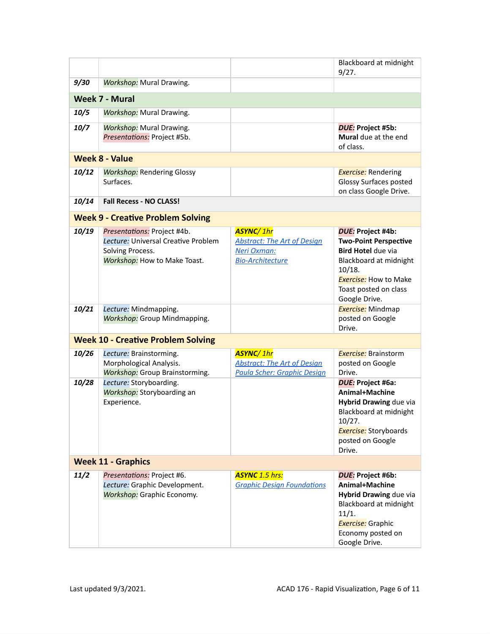|                                           |                                                                                                                        |                                                                                                  | Blackboard at midnight<br>9/27.                                                                                                                                                              |
|-------------------------------------------|------------------------------------------------------------------------------------------------------------------------|--------------------------------------------------------------------------------------------------|----------------------------------------------------------------------------------------------------------------------------------------------------------------------------------------------|
| 9/30                                      | <b>Workshop:</b> Mural Drawing.                                                                                        |                                                                                                  |                                                                                                                                                                                              |
|                                           | <b>Week 7 - Mural</b>                                                                                                  |                                                                                                  |                                                                                                                                                                                              |
| 10/5                                      | <b>Workshop:</b> Mural Drawing.                                                                                        |                                                                                                  |                                                                                                                                                                                              |
| 10/7                                      | <b>Workshop:</b> Mural Drawing.<br>Presentations: Project #5b.                                                         |                                                                                                  | DUE: Project #5b:<br>Mural due at the end<br>of class.                                                                                                                                       |
|                                           | <b>Week 8 - Value</b>                                                                                                  |                                                                                                  |                                                                                                                                                                                              |
| 10/12                                     | <b>Workshop: Rendering Glossy</b><br>Surfaces.                                                                         |                                                                                                  | <b>Exercise:</b> Rendering<br>Glossy Surfaces posted<br>on class Google Drive.                                                                                                               |
| 10/14                                     | <b>Fall Recess - NO CLASS!</b>                                                                                         |                                                                                                  |                                                                                                                                                                                              |
|                                           | <b>Week 9 - Creative Problem Solving</b>                                                                               |                                                                                                  |                                                                                                                                                                                              |
| 10/19                                     | Presentations: Project #4b.<br>Lecture: Universal Creative Problem<br>Solving Process.<br>Workshop: How to Make Toast. | <b>ASYNC/1hr</b><br><b>Abstract: The Art of Design</b><br>Neri Oxman:<br><b>Bio-Architecture</b> | DUE: Project #4b:<br><b>Two-Point Perspective</b><br><b>Bird Hotel due via</b><br>Blackboard at midnight<br>10/18.<br><b>Exercise:</b> How to Make<br>Toast posted on class<br>Google Drive. |
| 10/21                                     | Lecture: Mindmapping.<br><b>Workshop:</b> Group Mindmapping.                                                           |                                                                                                  | <b>Exercise:</b> Mindmap<br>posted on Google<br>Drive.                                                                                                                                       |
| <b>Week 10 - Creative Problem Solving</b> |                                                                                                                        |                                                                                                  |                                                                                                                                                                                              |
| 10/26                                     | Lecture: Brainstorming.<br>Morphological Analysis.<br><b>Workshop:</b> Group Brainstorming.                            | <b>ASYNC/1hr</b><br><b>Abstract: The Art of Design</b><br>Paula Scher: Graphic Design            | <b>Exercise:</b> Brainstorm<br>posted on Google<br>Drive.                                                                                                                                    |
| 10/28                                     | Lecture: Storyboarding.<br>Workshop: Storyboarding an<br>Experience.                                                   |                                                                                                  | <b>DUE: Project #6a:</b><br>Animal+Machine<br>Hybrid Drawing due via<br>Blackboard at midnight<br>10/27.<br><b>Exercise:</b> Storyboards<br>posted on Google<br>Drive.                       |
| <b>Week 11 - Graphics</b>                 |                                                                                                                        |                                                                                                  |                                                                                                                                                                                              |
| 11/2                                      | Presentations: Project #6.<br>Lecture: Graphic Development.<br><b>Workshop:</b> Graphic Economy.                       | <b>ASYNC</b> 1.5 hrs:<br><b>Graphic Design Foundations</b>                                       | DUE: Project #6b:<br>Animal+Machine<br>Hybrid Drawing due via<br>Blackboard at midnight<br>11/1.<br><b>Exercise:</b> Graphic<br>Economy posted on<br>Google Drive.                           |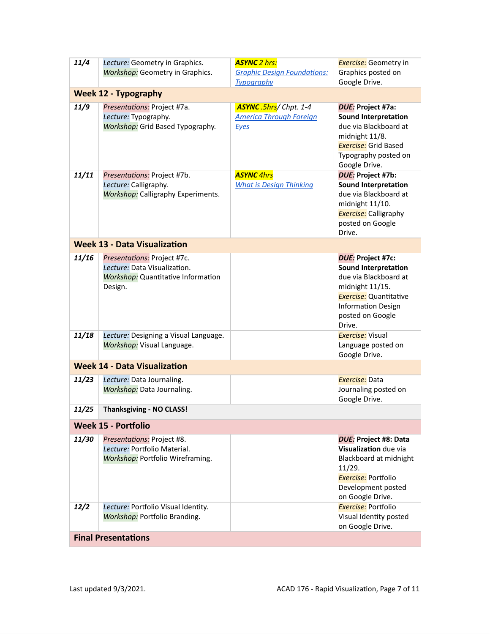| 11/4                                     | Lecture: Geometry in Graphics.<br><b>Workshop:</b> Geometry in Graphics.                                            | <b>ASYNC 2 hrs:</b><br><b>Graphic Design Foundations:</b><br><b>Typography</b> | <b>Exercise:</b> Geometry in<br>Graphics posted on<br>Google Drive.                                                                                                                      |
|------------------------------------------|---------------------------------------------------------------------------------------------------------------------|--------------------------------------------------------------------------------|------------------------------------------------------------------------------------------------------------------------------------------------------------------------------------------|
|                                          | <b>Week 12 - Typography</b>                                                                                         |                                                                                |                                                                                                                                                                                          |
| 11/9                                     | Presentations: Project #7a.<br>Lecture: Typography.<br>Workshop: Grid Based Typography.                             | ASYNC.5hrs/Chpt. 1-4<br><b>America Through Foreign</b><br>Eyes                 | DUE: Project #7a:<br><b>Sound Interpretation</b><br>due via Blackboard at<br>midnight 11/8.<br><b>Exercise:</b> Grid Based<br>Typography posted on<br>Google Drive.                      |
| 11/11                                    | Presentations: Project #7b.<br>Lecture: Calligraphy.<br><b>Workshop:</b> Calligraphy Experiments.                   | <b>ASYNC</b> 4hrs<br><b>What is Design Thinking</b>                            | DUE: Project #7b:<br><b>Sound Interpretation</b><br>due via Blackboard at<br>midnight 11/10.<br><b>Exercise:</b> Calligraphy<br>posted on Google<br>Drive.                               |
|                                          | <b>Week 13 - Data Visualization</b>                                                                                 |                                                                                |                                                                                                                                                                                          |
| 11/16                                    | Presentations: Project #7c.<br>Lecture: Data Visualization.<br><b>Workshop:</b> Quantitative Information<br>Design. |                                                                                | DUE: Project #7c:<br><b>Sound Interpretation</b><br>due via Blackboard at<br>midnight 11/15.<br><b>Exercise:</b> Quantitative<br><b>Information Design</b><br>posted on Google<br>Drive. |
| 11/18                                    | Lecture: Designing a Visual Language.<br>Workshop: Visual Language.                                                 |                                                                                | <b>Exercise:</b> Visual<br>Language posted on<br>Google Drive.                                                                                                                           |
|                                          | <b>Week 14 - Data Visualization</b>                                                                                 |                                                                                |                                                                                                                                                                                          |
| 11/23                                    | Lecture: Data Journaling.<br>Workshop: Data Journaling.                                                             |                                                                                | Exercise: Data<br>Journaling posted on<br>Google Drive.                                                                                                                                  |
| <b>Thanksgiving - NO CLASS!</b><br>11/25 |                                                                                                                     |                                                                                |                                                                                                                                                                                          |
| <b>Week 15 - Portfolio</b>               |                                                                                                                     |                                                                                |                                                                                                                                                                                          |
| 11/30                                    | Presentations: Project #8.<br>Lecture: Portfolio Material.<br>Workshop: Portfolio Wireframing.                      |                                                                                | <b>DUE: Project #8: Data</b><br>Visualization due via<br>Blackboard at midnight<br>11/29.<br><b>Exercise:</b> Portfolio<br>Development posted<br>on Google Drive.                        |
| 12/2                                     | Lecture: Portfolio Visual Identity.<br><b>Workshop: Portfolio Branding.</b>                                         |                                                                                | <b>Exercise:</b> Portfolio<br>Visual Identity posted<br>on Google Drive.                                                                                                                 |
| <b>Final Presentations</b>               |                                                                                                                     |                                                                                |                                                                                                                                                                                          |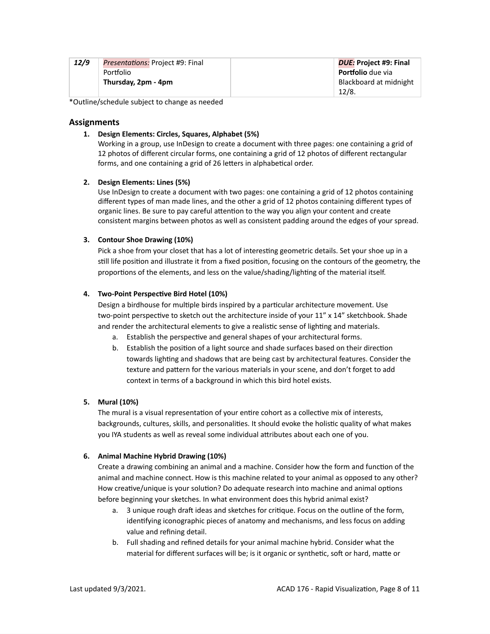| 12/9 | <i>Presentations:</i> Project #9: Final | DUE: Project #9: Final   |
|------|-----------------------------------------|--------------------------|
|      | <b>Portfolio</b>                        | <b>Portfolio</b> due via |
|      | Thursday, 2pm - 4pm                     | Blackboard at midnight   |
|      |                                         | 12/8.                    |

\*Outline/schedule subject to change as needed

#### **Assignments**

#### **1. Design Elements: Circles, Squares, Alphabet (5%)**

Working in a group, use InDesign to create a document with three pages: one containing a grid of 12 photos of different circular forms, one containing a grid of 12 photos of different rectangular forms, and one containing a grid of 26 letters in alphabetical order.

#### **2. Design Elements: Lines (5%)**

Use InDesign to create a document with two pages: one containing a grid of 12 photos containing different types of man made lines, and the other a grid of 12 photos containing different types of organic lines. Be sure to pay careful attention to the way you align your content and create consistent margins between photos as well as consistent padding around the edges of your spread.

#### **3. Contour Shoe Drawing (10%)**

Pick a shoe from your closet that has a lot of interesting geometric details. Set your shoe up in a still life position and illustrate it from a fixed position, focusing on the contours of the geometry, the proportions of the elements, and less on the value/shading/lighting of the material itself.

#### **4. Two-Point Perspective Bird Hotel (10%)**

Design a birdhouse for multiple birds inspired by a particular architecture movement. Use two-point perspective to sketch out the architecture inside of your 11" x 14" sketchbook. Shade and render the architectural elements to give a realistic sense of lighting and materials.

- a. Establish the perspective and general shapes of your architectural forms.
- b. Establish the position of a light source and shade surfaces based on their direction towards lighting and shadows that are being cast by architectural features. Consider the texture and pattern for the various materials in your scene, and don't forget to add context in terms of a background in which this bird hotel exists.

#### **5. Mural (10%)**

The mural is a visual representation of your entire cohort as a collective mix of interests, backgrounds, cultures, skills, and personalities. It should evoke the holistic quality of what makes you IYA students as well as reveal some individual attributes about each one of you.

#### **6. Animal Machine Hybrid Drawing (10%)**

Create a drawing combining an animal and a machine. Consider how the form and function of the animal and machine connect. How is this machine related to your animal as opposed to any other? How creative/unique is your solution? Do adequate research into machine and animal options before beginning your sketches. In what environment does this hybrid animal exist?

- a. 3 unique rough draft ideas and sketches for critique. Focus on the outline of the form, identifying iconographic pieces of anatomy and mechanisms, and less focus on adding value and refining detail.
- b. Full shading and refined details for your animal machine hybrid. Consider what the material for different surfaces will be; is it organic or synthetic, soft or hard, matte or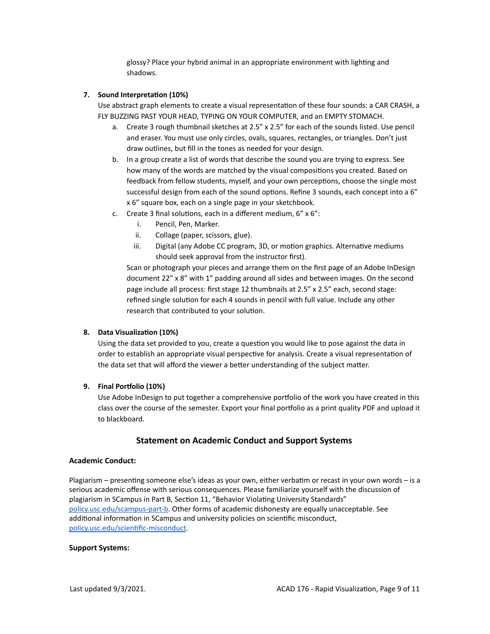glossy? Place your hybrid animal in an appropriate environment with lighting and shadows.

#### **7. Sound Interpretation (10%)**

Use abstract graph elements to create a visual representation of these four sounds: a CAR CRASH, a FLY BUZZING PAST YOUR HEAD, TYPING ON YOUR COMPUTER, and an EMPTY STOMACH.

- a. Create 3 rough thumbnail sketches at 2.5" x 2.5" for each of the sounds listed. Use pencil and eraser. You must use only circles, ovals, squares, rectangles, or triangles. Don't just draw outlines, but fill in the tones as needed for your design.
- b. In a group create a list of words that describe the sound you are trying to express. See how many of the words are matched by the visual compositions you created. Based on feedback from fellow students, myself, and your own perceptions, choose the single most successful design from each of the sound options. Refine 3 sounds, each concept into a 6" x 6" square box, each on a single page in your sketchbook.
- c. Create 3 final solutions, each in a different medium, 6" x 6":
	- i. Pencil, Pen, Marker.
	- ii. Collage (paper, scissors, glue).
	- iii. Digital (any Adobe CC program, 3D, or motion graphics. Alternative mediums should seek approval from the instructor first).

Scan or photograph your pieces and arrange them on the first page of an Adobe InDesign document 22" x 8" with 1" padding around all sides and between images. On the second page include all process: first stage 12 thumbnails at 2.5" x 2.5" each, second stage: refined single solution for each 4 sounds in pencil with full value. Include any other research that contributed to your solution.

#### **8. Data Visualization (10%)**

Using the data set provided to you, create a question you would like to pose against the data in order to establish an appropriate visual perspective for analysis. Create a visual representation of the data set that will afford the viewer a better understanding of the subject matter.

#### **9. Final Portfolio (10%)**

Use Adobe InDesign to put together a comprehensive portfolio of the work you have created in this class over the course of the semester. Export your final portfolio as a print quality PDF and upload it to blackboard.

# **Statement on Academic Conduct and Support Systems**

#### **Academic Conduct:**

Plagiarism – presenting someone else's ideas as your own, either verbatim or recast in your own words – is a serious academic offense with serious consequences. Please familiarize yourself with the discussion of plagiarism in SCampus in Part B, Section 11, "Behavior Violating University Standards" [policy.usc.edu/scampus-part-b](https://policy.usc.edu/scampus-part-b/). Other forms of academic dishonesty are equally unacceptable. See additional information in SCampus and university policies on scientific misconduct, [policy.usc.edu/scientific-misconduct](http://policy.usc.edu/scientific-misconduct).

#### **Support Systems:**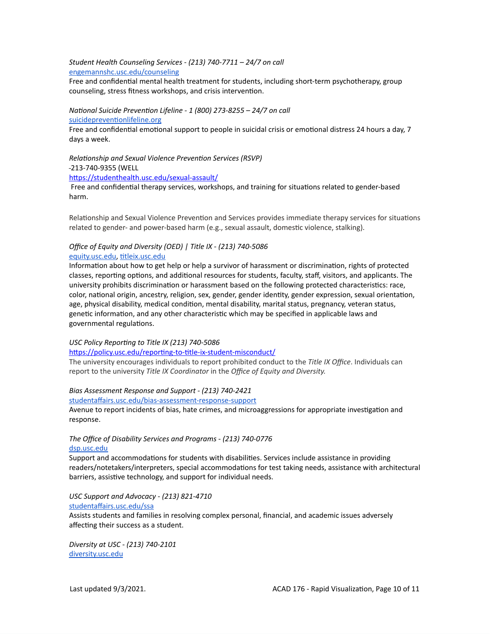*Student Health Counseling Services - (213) 740-7711 – 24/7 on call* [engemannshc.usc.edu/counseling](https://engemannshc.usc.edu/counseling/)

Free and confidential mental health treatment for students, including short-term psychotherapy, group [co](https://engemannshc.usc.edu/counseling/)unseling, stress fitness workshops, and crisis intervention.

*National Suicide Prevention Lifeline - 1 (800) 273-8255 – 24/7 on call* [suicidepreventionlifeline.org](http://www.suicidepreventionlifeline.org/)

Free and confidential emotional support to people in suicidal crisis or emotional distress 24 hours a day, 7 [da](http://www.suicidepreventionlifeline.org/)ys a week.

*Relationship and Sexual Violence Prevention Services (RSVP)* 213-740-9355 (WELL <https://studenthealth.usc.edu/sexual-assault/>

Free and confidential therapy services, workshops, and training for situations related to gender-based harm.

Relationship and Sexual Violence Prevention and Services provides immediate therapy services for situations related to gender- and power-based harm (e.g., sexual assault, domestic violence, stalking).

#### *Office of Equity and Diversity (OED) | Title IX - (213) 740-5086* [equity.usc.edu,](https://equity.usc.edu/) [titleix.usc.edu](http://titleix.usc.edu/)

Information about how to get help or help a survivor of harassment or discrimination, rights of protected classes, reporting options, and additional resources for students, faculty, staff, visitors, and applicants. The university prohibits discrimination or harassment based on the following protected characteristics: race, color, national origin, ancestry, religion, sex, gender, gender identity, gender expression, sexual orientation, age, physical disability, medical condition, mental disability, marital status, pregnancy, veteran status, genetic information, and any other characteristic which may be specified in applicable laws and governmental regulations.

#### *USC Policy Reporting to Title IX (213) 740-5086*

<https://policy.usc.edu/reporting-to-title-ix-student-misconduct/>

The university encourages individuals to report prohibited conduct to the *Title IX Office*. Individuals can report to the university *Title IX Coordinator* in the *Office of Equity and Diversity[.](http://sarc.usc.edu/)*

#### *Bias Assessment Response and Support - (213) 740-2421*

[studentaffairs.usc.edu/bias-assessment-response-support](https://studentaffairs.usc.edu/bias-assessment-response-support/)

Avenue to report incidents of bias, hate crimes, and microaggressions for appropriate investigation and response.

## *The Office of Disability Services and Programs - (213) 740-0776* [dsp.usc.edu](http://dsp.usc.edu/)

Support and accommodations for students with disabilities. Services include assistance in providing readers/notetakers/interpreters, special accommodations for test taking needs, assistance with architectural barriers, assistive technology, and support for individual needs.

*USC Support and Advocacy - (213) 821-4710* [studentaffairs.usc.edu/ssa](https://studentaffairs.usc.edu/ssa/)

Assists students and families in resolving complex personal, financial, and academic issues adversely affecting their success as a student.

*Diversity at USC - (213) 740-2101* [diversity.usc.edu](https://diversity.usc.edu/)